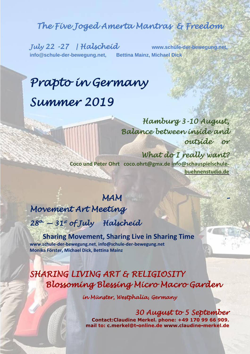### *The Five Joged Amerta Mantras & Freedom*

**[info@schule-der-bewegung.net,](mailto:info@schule-der-bewegung.net) Bettina Mainz, Michael Dick**

*July 22 -27 | Halscheid* **[www.schule-der-bewegung.net,](http://www.schule-der-bewegung.net/)** 

# *Prapto in Germany Summer 2019*

 *Hamburg 3-10 August, Balance between inside and outside or* 

 *What do I really want?*  **Coco und Peter Ohrt [coco.ohrt@gmx.de](mailto:coco.ohrt@gmx.de) [info@schauspielschule](mailto:info@schauspielschule-buehnenstudio.de)[buehnenstudio.de](mailto:info@schauspielschule-buehnenstudio.de)**

### *MAM –*

*Movement Art Meeting* 

*28th — 31st of July Halscheid* 

 **Sharing Movement, Sharing Live in Sharing Time** , **[www.schule-der-bewegung.net](http://www.schule-der-bewegung.net/)**, **[info@schule-der-bewegung.net](mailto:info@schule-der-bewegung.net)  Monika Förster, Michael Dick, Bettina Mainz**

## *SHARING LIVING ART & RELIGIOSITY Blossoming Blessing Micro Macro Garden*

*in Münster, Westphalia, Germany* 

 *30 August to 5 September* Contact: Claudine Merkel. phone: +49 170 99 66 909. mail to: c.merkel@t-online.de www.claudine-merkel.de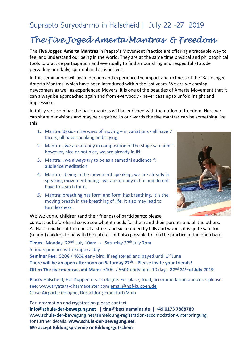### Suprapto Suryodarmo in Halscheid | July 22 -27 2019

### *The Five Joged Amerta Mantras & Freedom*

The **Five Jogged Amerta Mantras** in Prapto's Movement Practice are offering a traceable way to feel and understand our being in the world. They are at the same time physical and philosophical tools to practice participation and eventually to find a nourishing and respectful attitude pervading our daily, spiritual and artistic lives.

In this seminar we will again deepen and experience the impact and richness of the 'Basic Joged Amerta Mantras' which have been introduced within the last years. We are welcoming newcomers as well as experienced Movers; It is one of the beauties of Amerta Movement that it can always be approached again and from everybody - never ceasing to unfold insight and impression.

In this year's seminar the basic mantras will be enriched with the notion of freedom. Here we can share our visions and may be surprised.In our words the five mantras can be something like this

- 1. Mantra: Basic nine ways of moving in variations all have 7 facets, all have speaking and saying.
- 2. Mantra: "we are already in composition of the stage samadhi"however, nice or not nice, we are already in IN.
- 3. Mantra: "we always try to be as a samadhi audience ": audience meditation
- 4. Mantra: "being in the movement speaking; we are already in speaking movement being - we are already in life and do not have to search for it.
- *5.* Mantra: breathing has form and form has breathing. It is the moving breath in the breathing of life. It also may lead to formlessness*.*



We welcome children (and their friends) of participants; please

contact us beforehand so we see what it needs for them and their parents and all the others. As Halscheid lies at the end of a street and surrounded by hills and woods, it is quite safe for (school) children to be with the nature - but also possible to join the practice in the open barn.

**Times**: Monday 22<sup>nd</sup> July 10am - Saturday 27<sup>th</sup> July 7pm 5 hours practice with Prapto a day

**Seminar Fee**: 520€ / 460€ early bird, if registered and payed until 1<sup>st</sup> June **There will be an open afternoon on Saturday 27th – Please invite your friends! Offer: The five mantras and Mam:** 610€ / 560€ early bird, 10 days **22nd -31st of July 2019** 

**Place:** Halscheid, Hof Kuppen near Cologne. For place, food, accommodation and costs please see: www.aryatara-dharmacenter.com[,email@hof-kuppen.de](mailto:email@hof-kuppen.de)  Close Airports*:* Cologne, Düsseldorf; Frankfurt/Main

For information and registration please contact. **[info@schule-der-bewegung.net](mailto:info@schule-der-bewegung.net) | [tina@bettinamainz.de](mailto:tina@bettinamainz.de) | +49 0173 7888789** [www.schule-der-bewegung.net/anmeldung-registration-accomodation-unterbringung](http://www.schule-der-bewegung.net/anmeldung-registration-accomodation-unterbringung) for further details. **[www.schule-der-bewegung.net](http://www.schule-der-bewegung.net/)**. **We accept Bildungspraemie or Bildungsgutschein**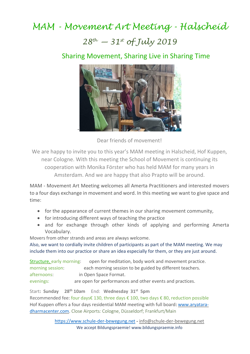## *MAM - Movement Art Meeting - Halscheid 28th — 31st of July 2019*

### Sharing Movement, Sharing Live in Sharing Time



Dear friends of movement!

We are happy to invite you to this year's MAM meeting in Halscheid, Hof Kuppen, near Cologne. With this meeting the School of Movement is continuing its cooperation with Monika Förster who has held MAM for many years in Amsterdam. And we are happy that also Prapto will be around.

MAM - Movement Art Meeting welcomes all Amerta Practitioners and interested movers to a four days exchange in movement and word. In this meeting we want to give space and time:

- for the appearance of current themes in our sharing movement community,
- for introducing different ways of teaching the practice
- and for exchange through other kinds of applying and performing Amerta Vocabulary.

Movers from other strands and areas are always welcome.

Also, we want to cordially invite children of participants as part of the MAM meeting. We may include them into our practice or share an idea especially for them, or they are just around.

Structure, early morning: open for meditation, body work and movement practice. morning session: each morning session to be guided by different teachers. afternoons: in Open Space Format. evenings: are open for performances and other events and practices.

Start**: Sunday 28th 10am** End: **Wednesday 31st 5pm** Recommended fee: four days€ 130, three days € 100, two days € 80, reduction possible Hof Kuppen offers a four days residential MAM meeting with full board: [www.aryatara](http://www.aryatara-dharmacenter.com/)[dharmacenter.com.](http://www.aryatara-dharmacenter.com/) Close Airports*:* Cologne, Düsseldorf; Frankfurt/Main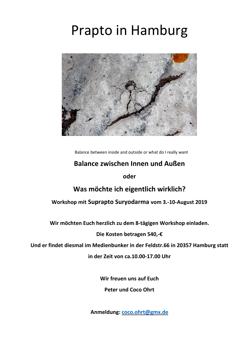# Prapto in Hamburg



Balance between inside and outside or what do I really want

### **Balance zwischen Innen und Außen**

**oder**

### **Was möchte ich eigentlich wirklich?**

#### **Workshop mit Suprapto Suryodarma vom 3.-10-August 2019**

**Wir möchten Euch herzlich zu dem 8-tägigen Workshop einladen.**

**Die Kosten betragen 540,-€**

**Und er findet diesmal im Medienbunker in der Feldstr.66 in 20357 Hamburg statt**

**in der Zeit von ca.10.00-17.00 Uhr**

**Wir freuen uns auf Euch**

**Peter und Coco Ohrt**

**Anmeldung: [coco.ohrt@gmx.de](mailto:coco.ohrt@gmx.de)**